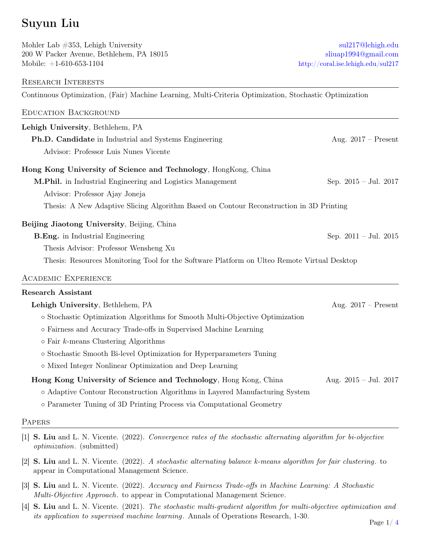# Suyun Liu

Mohler Lab #353, Lehigh University sullar to the sullar sullar sullar sullar sullar sullar sullar sullar sullar sullar sullar sullar sullar sullar sullar sullar sullar sullar sullar sullar sullar sullar sullar sullar sulla 200 W Packer Avenue, Bethlehem, PA 18015 [sliuap1994@gmail.com](mailto:sliuap1994@gmail.com) Mobile:  $+1-610-653-1104$  [http://coral.ise.lehigh.edu/sul217](http://coral.ise.lehigh.edu/sul217/)

#### Research Interests

Continuous Optimization, (Fair) Machine Learning, Multi-Criteria Optimization, Stochastic Optimization

| <b>EDUCATION BACKGROUND</b>                                                                 |                                 |
|---------------------------------------------------------------------------------------------|---------------------------------|
| Lehigh University, Bethlehem, PA                                                            |                                 |
| Ph.D. Candidate in Industrial and Systems Engineering                                       | Aug. $2017$ – Present           |
| Advisor: Professor Luis Nunes Vicente                                                       |                                 |
| Hong Kong University of Science and Technology, HongKong, China                             |                                 |
| M.Phil. in Industrial Engineering and Logistics Management                                  | Sep. $2015 - \text{Jul. } 2017$ |
| Advisor: Professor Ajay Joneja                                                              |                                 |
| Thesis: A New Adaptive Slicing Algorithm Based on Contour Reconstruction in 3D Printing     |                                 |
| Beijing Jiaotong University, Beijing, China                                                 |                                 |
| <b>B.Eng.</b> in Industrial Engineering                                                     | Sep. $2011 - \text{Jul. } 2015$ |
| Thesis Advisor: Professor Wensheng Xu                                                       |                                 |
| Thesis: Resources Monitoring Tool for the Software Platform on Ulteo Remote Virtual Desktop |                                 |
| <b>ACADEMIC EXPERIENCE</b>                                                                  |                                 |
| <b>Research Assistant</b>                                                                   |                                 |
| Lehigh University, Bethlehem, PA                                                            | Aug. $2017$ – Present           |
| • Stochastic Optimization Algorithms for Smooth Multi-Objective Optimization                |                                 |
| o Fairness and Accuracy Trade-offs in Supervised Machine Learning                           |                                 |
| $\circ$ Fair <i>k</i> -means Clustering Algorithms                                          |                                 |
| o Stochastic Smooth Bi-level Optimization for Hyperparameters Tuning                        |                                 |
| o Mixed Integer Nonlinear Optimization and Deep Learning                                    |                                 |
| Hong Kong University of Science and Technology, Hong Kong, China                            | Aug. $2015 -$ Jul. $2017$       |
| o Adaptive Contour Reconstruction Algorithms in Layered Manufacturing System                |                                 |
| o Parameter Tuning of 3D Printing Process via Computational Geometry                        |                                 |
|                                                                                             |                                 |

#### **PAPERS**

- [1] S. Liu and L. N. Vicente. (2022). Convergence rates of the stochastic alternating algorithm for bi-objective optimization. (submitted)
- [2] S. Liu and L. N. Vicente. (2022). A stochastic alternating balance k-means algorithm for fair clustering . to appear in Computational Management Science.
- [3] S. Liu and L. N. Vicente. (2022). Accuracy and Fairness Trade-offs in Machine Learning: A Stochastic Multi-Objective Approach. to appear in Computational Management Science.
- [4] S. Liu and L. N. Vicente. (2021). The stochastic multi-gradient algorithm for multi-objective optimization and its application to supervised machine learning. Annals of Operations Research, 1-30.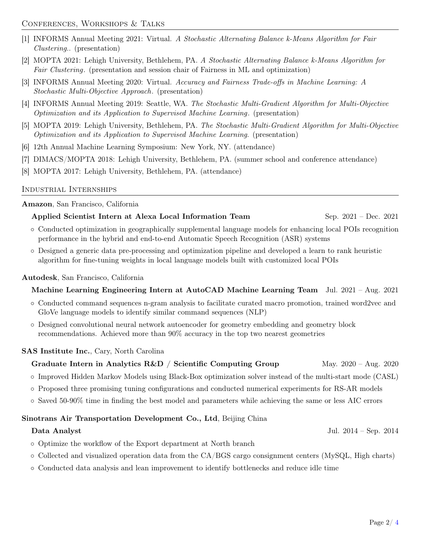- [1] INFORMS Annual Meeting 2021: Virtual. A Stochastic Alternating Balance k-Means Algorithm for Fair Clustering.. (presentation)
- [2] MOPTA 2021: Lehigh University, Bethlehem, PA. A Stochastic Alternating Balance k-Means Algorithm for Fair Clustering. (presentation and session chair of Fairness in ML and optimization)
- [3] INFORMS Annual Meeting 2020: Virtual. Accuracy and Fairness Trade-offs in Machine Learning: A Stochastic Multi-Objective Approach. (presentation)
- [4] INFORMS Annual Meeting 2019: Seattle, WA. The Stochastic Multi-Gradient Algorithm for Multi-Objective Optimization and its Application to Supervised Machine Learning. (presentation)
- [5] MOPTA 2019: Lehigh University, Bethlehem, PA. The Stochastic Multi-Gradient Algorithm for Multi-Objective Optimization and its Application to Supervised Machine Learning. (presentation)
- [6] 12th Annual Machine Learning Symposium: New York, NY. (attendance)
- [7] DIMACS/MOPTA 2018: Lehigh University, Bethlehem, PA. (summer school and conference attendance)
- [8] MOPTA 2017: Lehigh University, Bethlehem, PA. (attendance)

#### Industrial Internships

#### Amazon, San Francisco, California

#### Applied Scientist Intern at Alexa Local Information Team Sep. 2021 – Dec. 2021

- Conducted optimization in geographically supplemental language models for enhancing local POIs recognition performance in the hybrid and end-to-end Automatic Speech Recognition (ASR) systems
- Designed a generic data pre-processing and optimization pipeline and developed a learn to rank heuristic algorithm for fine-tuning weights in local language models built with customized local POIs

#### Autodesk, San Francisco, California

#### Machine Learning Engineering Intern at AutoCAD Machine Learning Team Jul. 2021 – Aug. 2021

- Conducted command sequences n-gram analysis to facilitate curated macro promotion, trained word2vec and GloVe language models to identify similar command sequences (NLP)
- Designed convolutional neural network autoencoder for geometry embedding and geometry block recommendations. Achieved more than 90% accuracy in the top two nearest geometries

#### SAS Institute Inc., Cary, North Carolina

### Graduate Intern in Analytics  $R\&D /$  Scientific Computing Group May. 2020 – Aug. 2020

- Improved Hidden Markov Models using Black-Box optimization solver instead of the multi-start mode (CASL)
- Proposed three promising tuning configurations and conducted numerical experiments for RS-AR models
- Saved 50-90% time in finding the best model and parameters while achieving the same or less AIC errors

#### Sinotrans Air Transportation Development Co., Ltd, Beijing China

#### Data Analyst Jul. 2014 – Sep. 2014

- Optimize the workflow of the Export department at North branch
- Collected and visualized operation data from the CA/BGS cargo consignment centers (MySQL, High charts)
- Conducted data analysis and lean improvement to identify bottlenecks and reduce idle time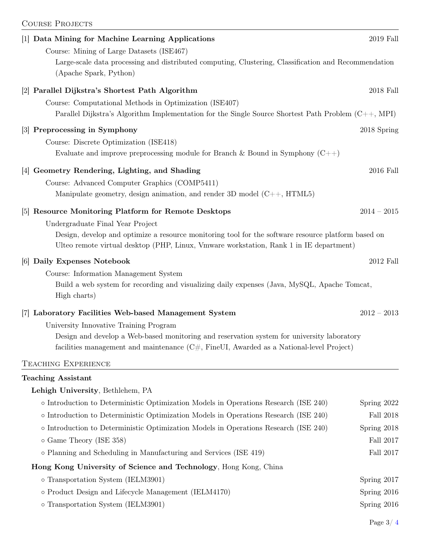| <b>COURSE PROJECTS</b>                                                                                                                                                                        |                  |
|-----------------------------------------------------------------------------------------------------------------------------------------------------------------------------------------------|------------------|
| [1] Data Mining for Machine Learning Applications                                                                                                                                             | 2019 Fall        |
| Course: Mining of Large Datasets (ISE467)                                                                                                                                                     |                  |
| Large-scale data processing and distributed computing, Clustering, Classification and Recommendation<br>(Apache Spark, Python)                                                                |                  |
| [2] Parallel Dijkstra's Shortest Path Algorithm                                                                                                                                               | 2018 Fall        |
| Course: Computational Methods in Optimization (ISE407)                                                                                                                                        |                  |
| Parallel Dijkstra's Algorithm Implementation for the Single Source Shortest Path Problem $(C++, MPI)$                                                                                         |                  |
| [3] Preprocessing in Symphony                                                                                                                                                                 | 2018 Spring      |
| Course: Discrete Optimization (ISE418)                                                                                                                                                        |                  |
| Evaluate and improve preprocessing module for Branch & Bound in Symphony $(C++)$                                                                                                              |                  |
| Geometry Rendering, Lighting, and Shading<br> 4                                                                                                                                               | 2016 Fall        |
| Course: Advanced Computer Graphics (COMP5411)                                                                                                                                                 |                  |
| Manipulate geometry, design animation, and render 3D model $(C++, HTML5)$                                                                                                                     |                  |
| [5] Resource Monitoring Platform for Remote Desktops                                                                                                                                          | $2014 - 2015$    |
| Undergraduate Final Year Project                                                                                                                                                              |                  |
| Design, develop and optimize a resource monitoring tool for the software resource platform based on<br>Ulteo remote virtual desktop (PHP, Linux, Vmware workstation, Rank 1 in IE department) |                  |
| [6] Daily Expenses Notebook                                                                                                                                                                   | 2012 Fall        |
| Course: Information Management System                                                                                                                                                         |                  |
| Build a web system for recording and visualizing daily expenses (Java, MySQL, Apache Tomcat,<br>High charts)                                                                                  |                  |
| Laboratory Facilities Web-based Management System<br> 7                                                                                                                                       | $2012 - 2013$    |
| University Innovative Training Program                                                                                                                                                        |                  |
| Design and develop a Web-based monitoring and reservation system for university laboratory<br>facilities management and maintenance $(C#$ , FineUI, Awarded as a National-level Project)      |                  |
| <b>TEACHING EXPERIENCE</b>                                                                                                                                                                    |                  |
| <b>Teaching Assistant</b>                                                                                                                                                                     |                  |
| Lehigh University, Bethlehem, PA                                                                                                                                                              |                  |
| $\circ$ Introduction to Deterministic Optimization Models in Operations Research (ISE 240)                                                                                                    | Spring 2022      |
| o Introduction to Deterministic Optimization Models in Operations Research (ISE 240)                                                                                                          | <b>Fall 2018</b> |
| $\circ$ Introduction to Deterministic Optimization Models in Operations Research (ISE 240)                                                                                                    | Spring 2018      |
| o Game Theory (ISE 358)                                                                                                                                                                       | Fall 2017        |
| o Planning and Scheduling in Manufacturing and Services (ISE 419)                                                                                                                             | Fall 2017        |
|                                                                                                                                                                                               |                  |

## Hong Kong University of Science and Technology, Hong Kong, China

| o Transportation System (IELM3901)                   | Spring $2017$ |
|------------------------------------------------------|---------------|
| o Product Design and Lifecycle Management (IELM4170) | Spring $2016$ |
| o Transportation System (IELM3901)                   | Spring $2016$ |